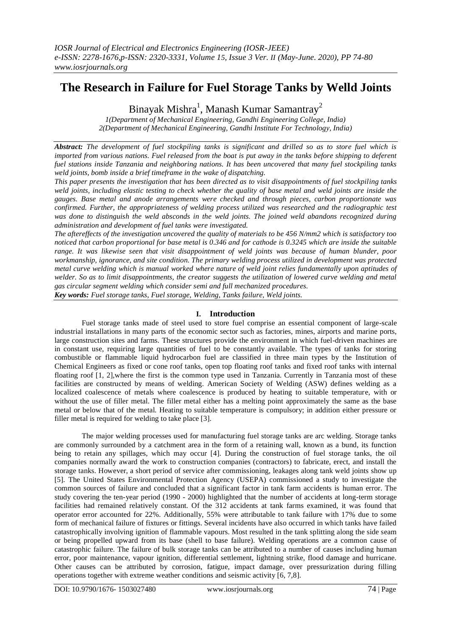# **The Research in Failure for Fuel Storage Tanks by Welld Joints**

Binayak Mishra<sup>1</sup>, Manash Kumar Samantray<sup>2</sup>

*1(Department of Mechanical Engineering, Gandhi Engineering College, India) 2(Department of Mechanical Engineering, Gandhi Institute For Technology, India)*

*Abstract: The development of fuel stockpiling tanks is significant and drilled so as to store fuel which is imported from various nations. Fuel released from the boat is put away in the tanks before shipping to deferent fuel stations inside Tanzania and neighboring nations. It has been uncovered that many fuel stockpiling tanks weld joints, bomb inside a brief timeframe in the wake of dispatching.* 

*This paper presents the investigation that has been directed as to visit disappointments of fuel stockpiling tanks weld joints, including elastic testing to check whether the quality of base metal and weld joints are inside the gauges. Base metal and anode arrangements were checked and through pieces, carbon proportionate was confirmed. Further, the appropriateness of welding process utilized was researched and the radiographic test was done to distinguish the weld absconds in the weld joints. The joined weld abandons recognized during administration and development of fuel tanks were investigated.* 

*The aftereffects of the investigation uncovered the quality of materials to be 456 N/mm2 which is satisfactory too noticed that carbon proportional for base metal is 0.346 and for cathode is 0.3245 which are inside the suitable range. It was likewise seen that visit disappointment of weld joints was because of human blunder, poor workmanship, ignorance, and site condition. The primary welding process utilized in development was protected metal curve welding which is manual worked where nature of weld joint relies fundamentally upon aptitudes of*  welder. So as to limit disappointments, the creator suggests the utilization of lowered curve welding and metal *gas circular segment welding which consider semi and full mechanized procedures.*

*Key words: Fuel storage tanks, Fuel storage, Welding, Tanks failure, Weld joints.*

# **I. Introduction**

Fuel storage tanks made of steel used to store fuel comprise an essential component of large-scale industrial installations in many parts of the economic sector such as factories, mines, airports and marine ports, large construction sites and farms. These structures provide the environment in which fuel-driven machines are in constant use, requiring large quantities of fuel to be constantly available. The types of tanks for storing combustible or flammable liquid hydrocarbon fuel are classified in three main types by the Institution of Chemical Engineers as fixed or cone roof tanks, open top floating roof tanks and fixed roof tanks with internal floating roof [1, 2],where the first is the common type used in Tanzania. Currently in Tanzania most of these facilities are constructed by means of welding. American Society of Welding (ASW) defines welding as a localized coalescence of metals where coalescence is produced by heating to suitable temperature, with or without the use of filler metal. The filler metal either has a melting point approximately the same as the base metal or below that of the metal. Heating to suitable temperature is compulsory; in addition either pressure or filler metal is required for welding to take place [3].

The major welding processes used for manufacturing fuel storage tanks are arc welding. Storage tanks are commonly surrounded by a catchment area in the form of a retaining wall, known as a bund, its function being to retain any spillages, which may occur [4]. During the construction of fuel storage tanks, the oil companies normally award the work to construction companies (contractors) to fabricate, erect, and install the storage tanks. However, a short period of service after commissioning, leakages along tank weld joints show up [5]. The United States Environmental Protection Agency (USEPA) commissioned a study to investigate the common sources of failure and concluded that a significant factor in tank farm accidents is human error. The study covering the ten-year period (1990 - 2000) highlighted that the number of accidents at long-term storage facilities had remained relatively constant. Of the 312 accidents at tank farms examined, it was found that operator error accounted for 22%. Additionally, 55% were attributable to tank failure with 17% due to some form of mechanical failure of fixtures or fittings. Several incidents have also occurred in which tanks have failed catastrophically involving ignition of flammable vapours. Most resulted in the tank splitting along the side seam or being propelled upward from its base (shell to base failure). Welding operations are a common cause of catastrophic failure. The failure of bulk storage tanks can be attributed to a number of causes including human error, poor maintenance, vapour ignition, differential settlement, lightning strike, flood damage and hurricane. Other causes can be attributed by corrosion, fatigue, impact damage, over pressurization during filling operations together with extreme weather conditions and seismic activity [6, 7,8].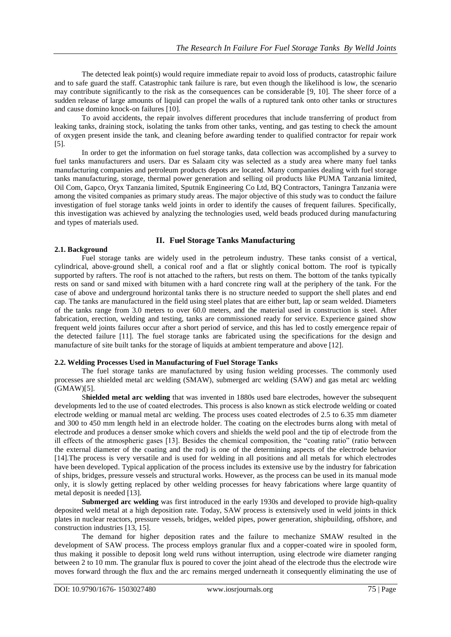The detected leak point(s) would require immediate repair to avoid loss of products, catastrophic failure and to safe guard the staff. Catastrophic tank failure is rare, but even though the likelihood is low, the scenario may contribute significantly to the risk as the consequences can be considerable [9, 10]. The sheer force of a sudden release of large amounts of liquid can propel the walls of a ruptured tank onto other tanks or structures and cause domino knock-on failures [10].

To avoid accidents, the repair involves different procedures that include transferring of product from leaking tanks, draining stock, isolating the tanks from other tanks, venting, and gas testing to check the amount of oxygen present inside the tank, and cleaning before awarding tender to qualified contractor for repair work [5].

In order to get the information on fuel storage tanks, data collection was accomplished by a survey to fuel tanks manufacturers and users. Dar es Salaam city was selected as a study area where many fuel tanks manufacturing companies and petroleum products depots are located. Many companies dealing with fuel storage tanks manufacturing, storage, thermal power generation and selling oil products like PUMA Tanzania limited, Oil Com, Gapco, Oryx Tanzania limited, Sputnik Engineering Co Ltd, BQ Contractors, Taningra Tanzania were among the visited companies as primary study areas. The major objective of this study was to conduct the failure investigation of fuel storage tanks weld joints in order to identify the causes of frequent failures. Specifically, this investigation was achieved by analyzing the technologies used, weld beads produced during manufacturing and types of materials used.

# **II. Fuel Storage Tanks Manufacturing**

# **2.1. Background**

Fuel storage tanks are widely used in the petroleum industry. These tanks consist of a vertical, cylindrical, above-ground shell, a conical roof and a flat or slightly conical bottom. The roof is typically supported by rafters. The roof is not attached to the rafters, but rests on them. The bottom of the tanks typically rests on sand or sand mixed with bitumen with a hard concrete ring wall at the periphery of the tank. For the case of above and underground horizontal tanks there is no structure needed to support the shell plates and end cap. The tanks are manufactured in the field using steel plates that are either butt, lap or seam welded. Diameters of the tanks range from 3.0 meters to over 60.0 meters, and the material used in construction is steel. After fabrication, erection, welding and testing, tanks are commissioned ready for service. Experience gained show frequent weld joints failures occur after a short period of service, and this has led to costly emergence repair of the detected failure [11]. The fuel storage tanks are fabricated using the specifications for the design and manufacture of site built tanks for the storage of liquids at ambient temperature and above [12].

# **2.2. Welding Processes Used in Manufacturing of Fuel Storage Tanks**

The fuel storage tanks are manufactured by using fusion welding processes. The commonly used processes are shielded metal arc welding (SMAW), submerged arc welding (SAW) and gas metal arc welding (GMAW)[5].

S**hielded metal arc welding** that was invented in 1880s used bare electrodes, however the subsequent developments led to the use of coated electrodes. This process is also known as stick electrode welding or coated electrode welding or manual metal arc welding. The process uses coated electrodes of 2.5 to 6.35 mm diameter and 300 to 450 mm length held in an electrode holder. The coating on the electrodes burns along with metal of electrode and produces a denser smoke which covers and shields the weld pool and the tip of electrode from the ill effects of the atmospheric gases [13]. Besides the chemical composition, the "coating ratio" (ratio between the external diameter of the coating and the rod) is one of the determining aspects of the electrode behavior [14].The process is very versatile and is used for welding in all positions and all metals for which electrodes have been developed. Typical application of the process includes its extensive use by the industry for fabrication of ships, bridges, pressure vessels and structural works. However, as the process can be used in its manual mode only, it is slowly getting replaced by other welding processes for heavy fabrications where large quantity of metal deposit is needed [13].

**Submerged arc welding** was first introduced in the early 1930s and developed to provide high-quality deposited weld metal at a high deposition rate. Today, SAW process is extensively used in weld joints in thick plates in nuclear reactors, pressure vessels, bridges, welded pipes, power generation, shipbuilding, offshore, and construction industries [13, 15].

The demand for higher deposition rates and the failure to mechanize SMAW resulted in the development of SAW process. The process employs granular flux and a copper-coated wire in spooled form, thus making it possible to deposit long weld runs without interruption, using electrode wire diameter ranging between 2 to 10 mm. The granular flux is poured to cover the joint ahead of the electrode thus the electrode wire moves forward through the flux and the arc remains merged underneath it consequently eliminating the use of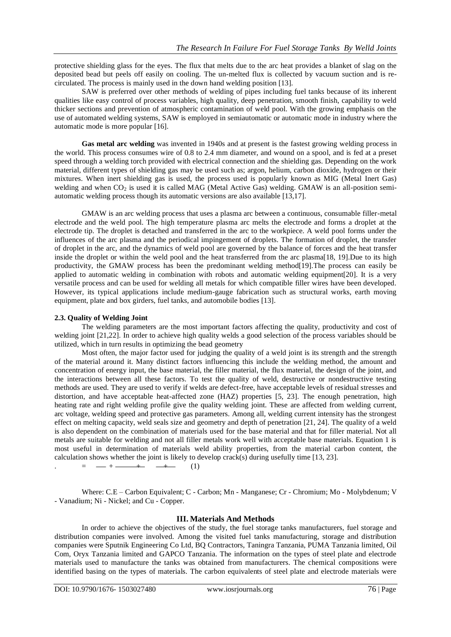protective shielding glass for the eyes. The flux that melts due to the arc heat provides a blanket of slag on the deposited bead but peels off easily on cooling. The un-melted flux is collected by vacuum suction and is recirculated. The process is mainly used in the down hand welding position [13].

SAW is preferred over other methods of welding of pipes including fuel tanks because of its inherent qualities like easy control of process variables, high quality, deep penetration, smooth finish, capability to weld thicker sections and prevention of atmospheric contamination of weld pool. With the growing emphasis on the use of automated welding systems, SAW is employed in semiautomatic or automatic mode in industry where the automatic mode is more popular [16].

**Gas metal arc welding** was invented in 1940s and at present is the fastest growing welding process in the world. This process consumes wire of 0.8 to 2.4 mm diameter, and wound on a spool, and is fed at a preset speed through a welding torch provided with electrical connection and the shielding gas. Depending on the work material, different types of shielding gas may be used such as; argon, helium, carbon dioxide, hydrogen or their mixtures. When inert shielding gas is used, the process used is popularly known as MIG (Metal Inert Gas) welding and when  $CO<sub>2</sub>$  is used it is called MAG (Metal Active Gas) welding. GMAW is an all-position semiautomatic welding process though its automatic versions are also available [13,17].

GMAW is an arc welding process that uses a plasma arc between a continuous, consumable filler-metal electrode and the weld pool. The high temperature plasma arc melts the electrode and forms a droplet at the electrode tip. The droplet is detached and transferred in the arc to the workpiece. A weld pool forms under the influences of the arc plasma and the periodical impingement of droplets. The formation of droplet, the transfer of droplet in the arc, and the dynamics of weld pool are governed by the balance of forces and the heat transfer inside the droplet or within the weld pool and the heat transferred from the arc plasma[18, 19].Due to its high productivity, the GMAW process has been the predominant welding method[19].The process can easily be applied to automatic welding in combination with robots and automatic welding equipment[20]. It is a very versatile process and can be used for welding all metals for which compatible filler wires have been developed. However, its typical applications include medium-gauge fabrication such as structural works, earth moving equipment, plate and box girders, fuel tanks, and automobile bodies [13].

# **2.3. Quality of Welding Joint**

The welding parameters are the most important factors affecting the quality, productivity and cost of welding joint [21,22]. In order to achieve high quality welds a good selection of the process variables should be utilized, which in turn results in optimizing the bead geometry

Most often, the major factor used for judging the quality of a weld joint is its strength and the strength of the material around it. Many distinct factors influencing this include the welding method, the amount and concentration of energy input, the base material, the filler material, the flux material, the design of the joint, and the interactions between all these factors. To test the quality of weld, destructive or nondestructive testing methods are used. They are used to verify if welds are defect-free, have acceptable levels of residual stresses and distortion, and have acceptable heat-affected zone (HAZ) properties [5, 23]. The enough penetration, high heating rate and right welding profile give the quality welding joint. These are affected from welding current, arc voltage, welding speed and protective gas parameters. Among all, welding current intensity has the strongest effect on melting capacity, weld seals size and geometry and depth of penetration [21, 24]. The quality of a weld is also dependent on the combination of materials used for the base material and that for filler material. Not all metals are suitable for welding and not all filler metals work well with acceptable base materials. Equation 1 is most useful in determination of materials weld ability properties, from the material carbon content, the calculation shows whether the joint is likely to develop crack(s) during usefully time [13, 23].

 $=$   $-$  +  $+$   $+$   $(1)$ 

Where: C.E – Carbon Equivalent; C - Carbon; Mn - Manganese; Cr - Chromium; Mo - Molybdenum; V - Vanadium; Ni - Nickel; and Cu - Copper.

# **III. Materials And Methods**

In order to achieve the objectives of the study, the fuel storage tanks manufacturers, fuel storage and distribution companies were involved. Among the visited fuel tanks manufacturing, storage and distribution companies were Sputnik Engineering Co Ltd, BQ Contractors, Taningra Tanzania, PUMA Tanzania limited, Oil Com, Oryx Tanzania limited and GAPCO Tanzania. The information on the types of steel plate and electrode materials used to manufacture the tanks was obtained from manufacturers. The chemical compositions were identified basing on the types of materials. The carbon equivalents of steel plate and electrode materials were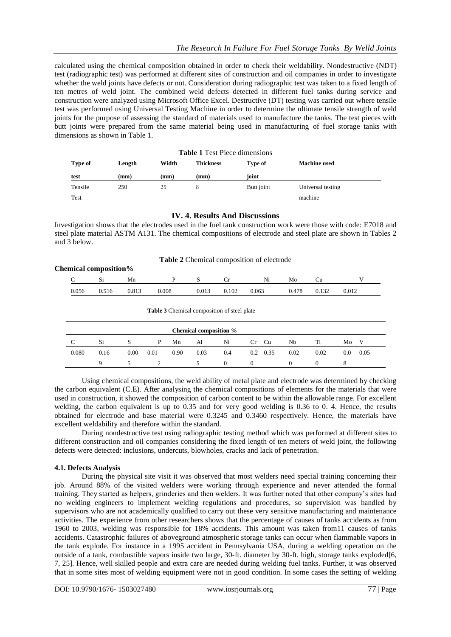calculated using the chemical composition obtained in order to check their weldability. Nondestructive (NDT) test (radiographic test) was performed at different sites of construction and oil companies in order to investigate whether the weld joints have defects or not. Consideration during radiographic test was taken to a fixed length of ten metres of weld joint. The combined weld defects detected in different fuel tanks during service and construction were analyzed using Microsoft Office Excel. Destructive (DT) testing was carried out where tensile test was performed using Universal Testing Machine in order to determine the ultimate tensile strength of weld joints for the purpose of assessing the standard of materials used to manufacture the tanks. The test pieces with butt joints were prepared from the same material being used in manufacturing of fuel storage tanks with dimensions as shown in Table 1.

| <b>Table 1 Test Piece dimensions</b> |        |       |                  |            |                     |  |  |  |
|--------------------------------------|--------|-------|------------------|------------|---------------------|--|--|--|
| <b>Type of</b>                       | Length | Width | <b>Thickness</b> | Type of    | <b>Machine</b> used |  |  |  |
| test                                 | (mm)   | (mm)  | (mm)             | ioint      |                     |  |  |  |
| Tensile                              | 250    | 25    |                  | Butt joint | Universal testing   |  |  |  |
| Test                                 |        |       |                  |            | machine             |  |  |  |

# **IV. 4. Results And Discussions**

Investigation shows that the electrodes used in the fuel tank construction work were those with code: E7018 and steel plate material ASTM A131. The chemical compositions of electrode and steel plate are shown in Tables 2 and 3 below.

## **Table 2** Chemical composition of electrode

| <b>Chemical composition%</b> |       |       |       |       |       |       |       |       |       |       |
|------------------------------|-------|-------|-------|-------|-------|-------|-------|-------|-------|-------|
|                              |       |       | Mn    |       |       |       | Ni    | Mc    |       |       |
|                              | 0.056 | 0.516 | 0.813 | 0.008 | 0.013 | 0.102 | 0.063 | 0.478 | 0.132 | 0.012 |

#### **Table 3** Chemical composition of steel plate

| Chemical composition % |      |      |      |      |      |     |     |           |      |      |     |      |
|------------------------|------|------|------|------|------|-----|-----|-----------|------|------|-----|------|
|                        | Si   | S    | P    | Mn   | Al   | Ni  | Cr  | <b>Cu</b> | Nb   | Ti   | Mo  | v    |
| 0.080                  | 0.16 | 0.00 | 0.01 | 0.90 | 0.03 | 0.4 | 0.2 | 0.35      | 0.02 | 0.02 | 0.0 | 0.05 |
|                        |      |      |      |      |      |     |     |           |      |      |     |      |

Using chemical compositions, the weld ability of metal plate and electrode was determined by checking the carbon equivalent (C.E). After analysing the chemical compositions of elements for the materials that were used in construction, it showed the composition of carbon content to be within the allowable range. For excellent welding, the carbon equivalent is up to 0.35 and for very good welding is 0.36 to 0. 4. Hence, the results obtained for electrode and base material were 0.3245 and 0.3460 respectively. Hence, the materials have excellent weldability and therefore within the standard.

During nondestructive test using radiographic testing method which was performed at different sites to different construction and oil companies considering the fixed length of ten meters of weld joint, the following defects were detected: inclusions, undercuts, blowholes, cracks and lack of penetration.

## **4.1. Defects Analysis**

During the physical site visit it was observed that most welders need special training concerning their job. Around 88% of the visited welders were working through experience and never attended the formal training. They started as helpers, grinderies and then welders. It was further noted that other company's sites had no welding engineers to implement welding regulations and procedures, so supervision was handled by supervisors who are not academically qualified to carry out these very sensitive manufacturing and maintenance activities. The experience from other researchers shows that the percentage of causes of tanks accidents as from 1960 to 2003, welding was responsible for 18% accidents. This amount was taken from11 causes of tanks accidents. Catastrophic failures of aboveground atmospheric storage tanks can occur when flammable vapors in the tank explode. For instance in a 1995 accident in Pennsylvania USA, during a welding operation on the outside of a tank, combustible vapors inside two large, 30-ft. diameter by 30-ft. high, storage tanks exploded[6, 7, 25]. Hence, well skilled people and extra care are needed during welding fuel tanks. Further, it was observed that in some sites most of welding equipment were not in good condition. In some cases the setting of welding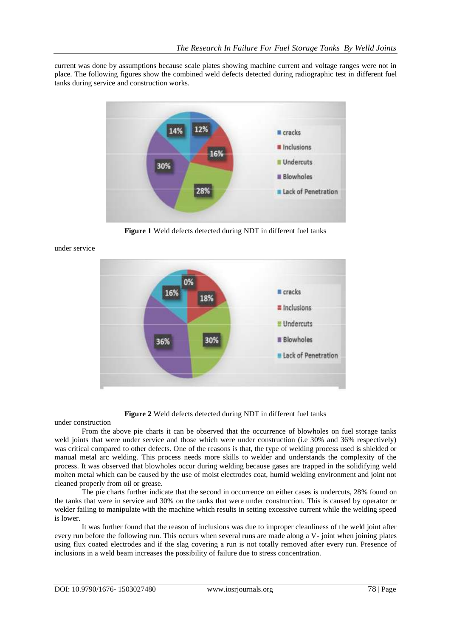current was done by assumptions because scale plates showing machine current and voltage ranges were not in place. The following figures show the combined weld defects detected during radiographic test in different fuel tanks during service and construction works.



**Figure 1** Weld defects detected during NDT in different fuel tanks



under service

**Figure 2** Weld defects detected during NDT in different fuel tanks

under construction

From the above pie charts it can be observed that the occurrence of blowholes on fuel storage tanks weld joints that were under service and those which were under construction (i.e 30% and 36% respectively) was critical compared to other defects. One of the reasons is that, the type of welding process used is shielded or manual metal arc welding. This process needs more skills to welder and understands the complexity of the process. It was observed that blowholes occur during welding because gases are trapped in the solidifying weld molten metal which can be caused by the use of moist electrodes coat, humid welding environment and joint not cleaned properly from oil or grease.

The pie charts further indicate that the second in occurrence on either cases is undercuts, 28% found on the tanks that were in service and 30% on the tanks that were under construction. This is caused by operator or welder failing to manipulate with the machine which results in setting excessive current while the welding speed is lower.

It was further found that the reason of inclusions was due to improper cleanliness of the weld joint after every run before the following run. This occurs when several runs are made along a V- joint when joining plates using flux coated electrodes and if the slag covering a run is not totally removed after every run. Presence of inclusions in a weld beam increases the possibility of failure due to stress concentration.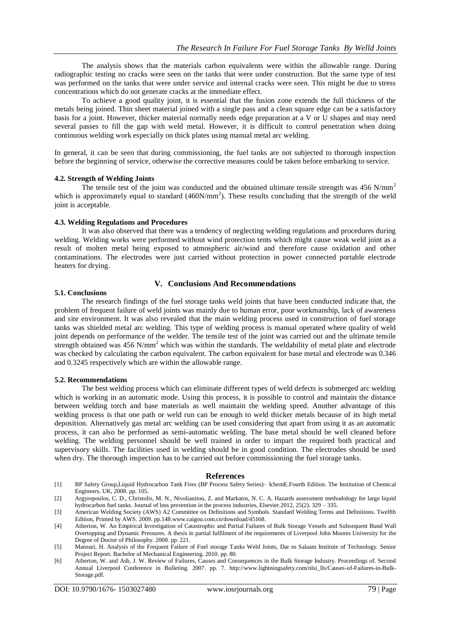The analysis shows that the materials carbon equivalents were within the allowable range. During radiographic testing no cracks were seen on the tanks that were under construction. But the same type of test was performed on the tanks that were under service and internal cracks were seen. This might be due to stress concentrations which do not generate cracks at the immediate effect.

To achieve a good quality joint, it is essential that the fusion zone extends the full thickness of the metals being joined. Thin sheet material joined with a single pass and a clean square edge can be a satisfactory basis for a joint. However, thicker material normally needs edge preparation at a V or U shapes and may need several passes to fill the gap with weld metal. However, it is difficult to control penetration when doing continuous welding work especially on thick plates using manual metal arc welding.

In general, it can be seen that during commissioning, the fuel tanks are not subjected to thorough inspection before the beginning of service, otherwise the corrective measures could be taken before embarking to service.

## **4.2. Strength of Welding Joints**

The tensile test of the joint was conducted and the obtained ultimate tensile strength was  $456$  N/mm<sup>2</sup> which is approximately equal to standard  $(460N/mm<sup>2</sup>)$ . These results concluding that the strength of the weld joint is acceptable.

## **4.3. Welding Regulations and Procedures**

It was also observed that there was a tendency of neglecting welding regulations and procedures during welding. Welding works were performed without wind protection tents which might cause weak weld joint as a result of molten metal being exposed to atmospheric air/wind and therefore cause oxidation and other contaminations. The electrodes were just carried without protection in power connected portable electrode heaters for drying.

# **V. Conclusions And Recommendations**

## **5.1. Conclusions**

The research findings of the fuel storage tanks weld joints that have been conducted indicate that, the problem of frequent failure of weld joints was mainly due to human error, poor workmanship, lack of awareness and site environment. It was also revealed that the main welding process used in construction of fuel storage tanks was shielded metal arc welding. This type of welding process is manual operated where quality of weld joint depends on performance of the welder. The tensile test of the joint was carried out and the ultimate tensile strength obtained was  $456$  N/mm<sup>2</sup> which was within the standards. The weldability of metal plate and electrode was checked by calculating the carbon equivalent. The carbon equivalent for base metal and electrode was 0.346 and 0.3245 respectively which are within the allowable range.

## **5.2. Recommendations**

The best welding process which can eliminate different types of weld defects is submerged arc welding which is working in an automatic mode. Using this process, it is possible to control and maintain the distance between welding torch and base materials as well maintain the welding speed. Another advantage of this welding process is that one path or weld run can be enough to weld thicker metals because of its high metal deposition. Alternatively gas metal arc welding can be used considering that apart from using it as an automatic process, it can also be performed as semi-automatic welding. The base metal should be well cleaned before welding. The welding personnel should be well trained in order to impart the required both practical and supervisory skills. The facilities used in welding should be in good condition. The electrodes should be used when dry. The thorough inspection has to be carried out before commissioning the fuel storage tanks.

### **References**

- [1] BP Safety Group,Liquid Hydrocarbon Tank Fires (BP Process Safety Series)– IchemE.Fourth Edition. The Institution of Chemical Engineers. UK, 2008. pp. 105.
- [2] Argyropoulos, C. D., Christolis, M. N., Nivolianitou, Z. and Markatos, N. C. A. Hazards assessment methodology for large liquid hydrocarbon fuel tanks. Journal of loss prevention in the process industries, Elsevier.2012, 25(2). 329 – 335.
- [3] American Welding Society (AWS) A2 Committee on Definitions and Symbols. Standard Welding Terms and Definitions. Twelfth Edition, Printed by AWS. 2009. pp.148.www.caigou.com.cn/download/45168.
- [4] Atherton, W. An Empirical Investigation of Catastrophic and Partial Failures of Bulk Storage Vessels and Subsequent Bund Wall Overtopping and Dynamic Pressures. A thesis in partial fulfilment of the requirements of Liverpool John Moores University for the Degree of Doctor of Philosophy. 2008. pp. 221.
- [5] Mansuri, H. Analysis of the Frequent Failure of Fuel storage Tanks Weld Joints, Dar es Salaam Institute of Technology. Senior Project Report. Bachelor of Mechanical Engineering. 2010. pp. 80.
- [6] Atherton, W. and Ash, J. W. Review of Failures, Causes and Consequences in the Bulk Storage Industry. Proceedings of. Second Annual Liverpool Conference in Bulleting. 2007. pp. 7. http://www.lightningsafety.com/nlsi\_lls/Causes-of-Failures-in-Bulk-Storage.pdf.